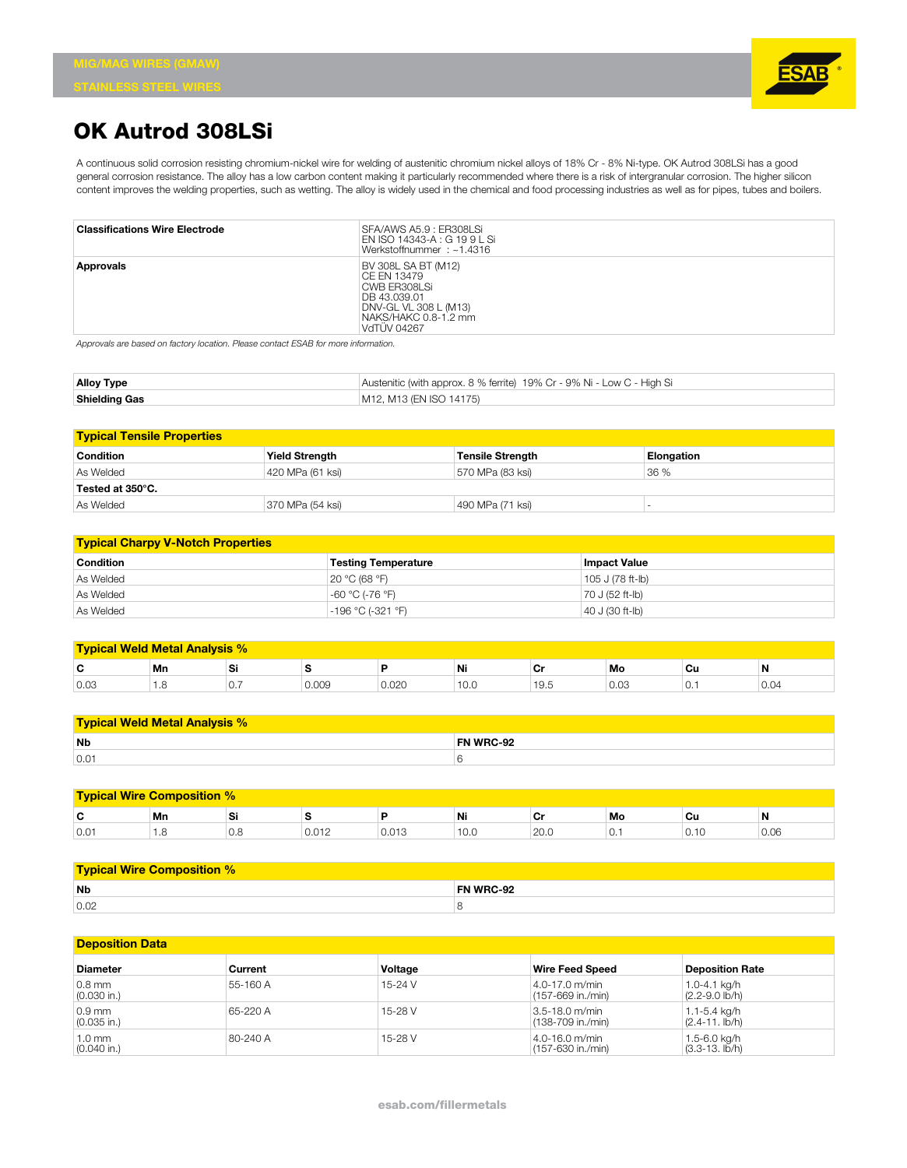

## **OK Autrod 308LSi**

A continuous solid corrosion resisting chromium-nickel wire for welding of austenitic chromium nickel alloys of 18% Cr - 8% Ni-type. OK Autrod 308LSi has a good general corrosion resistance. The alloy has a low carbon content making it particularly recommended where there is a risk of intergranular corrosion. The higher silicon content improves the welding properties, such as wetting. The alloy is widely used in the chemical and food processing industries as well as for pipes, tubes and boilers.

| <b>Classifications Wire Electrode</b> | SFA/AWS A5.9 : ER308LSi<br>EN ISO 14343-A : G 19 9 L Si<br>Werkstoffnummer: ~1.4316                                                       |
|---------------------------------------|-------------------------------------------------------------------------------------------------------------------------------------------|
| Approvals                             | BV 308L SA BT (M12)<br>CE FN 13479<br>CWB ER308LSi<br>DB 43.039.01<br>DNV-GL VL 308 L (M13)<br>NAKS/HAKC 0.8-1.2 mm<br><b>VdTÜV 04267</b> |

*Approvals are based on factory location. Please contact ESAB for more information.*

| <b>Alloy Type</b>    | Austenitic (with approx. 8 % ferrite) 19% Cr - 9% Ni - Low C - High Si |
|----------------------|------------------------------------------------------------------------|
| <b>Shielding Gas</b> | M12. M13 (EN ISO 14175)                                                |

| <b>Typical Tensile Properties</b> |                       |                         |            |
|-----------------------------------|-----------------------|-------------------------|------------|
| <b>Condition</b>                  | <b>Yield Strength</b> | <b>Tensile Strength</b> | Elongation |
| As Welded                         | 420 MPa (61 ksi)      | 570 MPa (83 ksi)        | 36 %       |
| $^\circ$ Tested at 350°C.         |                       |                         |            |
| As Welded                         | 370 MPa (54 ksi)      | 490 MPa (71 ksi)        |            |

| <b>Typical Charpy V-Notch Properties</b> |                            |                     |  |  |
|------------------------------------------|----------------------------|---------------------|--|--|
| <b>Condition</b>                         | <b>Testing Temperature</b> | <b>Impact Value</b> |  |  |
| As Welded                                | 20 °C (68 °F)              | 105 J (78 ft-lb)    |  |  |
| As Welded                                | -60 °C (-76 °F)            | 70 J (52 ft-lb)     |  |  |
| As Welded                                | -196 °C (-321 °F)          | 40 J (30 ft-lb)     |  |  |

| <b>Typical Weld Metal Analysis %</b> |      |          |       |       |                |                |                |            |      |
|--------------------------------------|------|----------|-------|-------|----------------|----------------|----------------|------------|------|
| ∼<br>v                               | Mn   | וכ       |       |       | Ni             | ◡              | Mo             | Cu         | N    |
| 0.03                                 | ن. ا | $\cup$ . | 0.009 | 0.020 | $\sim$<br>10.0 | $\sim$<br>19.5 | $\sim$<br>U.U3 | $\cdot$ U. | 0.04 |

| <b>Typical Weld Metal Analysis % \</b> |           |  |  |
|----------------------------------------|-----------|--|--|
| <b>Nb</b>                              | FN WRC-92 |  |  |
| 0.01                                   |           |  |  |

| <b>Typical Wire Composition %</b> |      |                 |                    |         |      |      |    |       |      |
|-----------------------------------|------|-----------------|--------------------|---------|------|------|----|-------|------|
| ◠<br>v                            | Mn   | וכ              |                    |         | Ni   | vı   | Mo | Сu    | N    |
| 0.01                              | ن. ا | $\cup$ . $\cup$ | n n 1 n<br>U.U I Z | U.U I J | 10.0 | 20.0 | U. | v. IV | v.vo |

| <b>Typical Wire Composition %</b> |                  |  |  |
|-----------------------------------|------------------|--|--|
| <b>Nb</b>                         | <b>FN WRC-92</b> |  |  |
| 0.02                              |                  |  |  |

| <b>Deposition Data</b>    |          |         |                                     |                                     |
|---------------------------|----------|---------|-------------------------------------|-------------------------------------|
| <b>Diameter</b>           | Current  | Voltage | <b>Wire Feed Speed</b>              | <b>Deposition Rate</b>              |
| $0.8$ mm<br>$(0.030$ in.) | 55-160 A | 15-24 V | 4.0-17.0 m/min<br>(157-669 in./min) | 1.0-4.1 kg/h<br>$(2.2 - 9.0)$ lb/h) |
| $0.9$ mm<br>$(0.035$ in.) | 65-220 A | 15-28 V | 3.5-18.0 m/min<br>(138-709 in./min) | 1.1-5.4 ka/h<br>$(2.4 - 11.$ lb/h)  |
| 1.0 mm<br>$(0.040$ in.)   | 80-240 A | 15-28 V | 4.0-16.0 m/min<br>(157-630 in./min) | 1.5-6.0 kg/h<br>(3.3-13. lb/h)      |